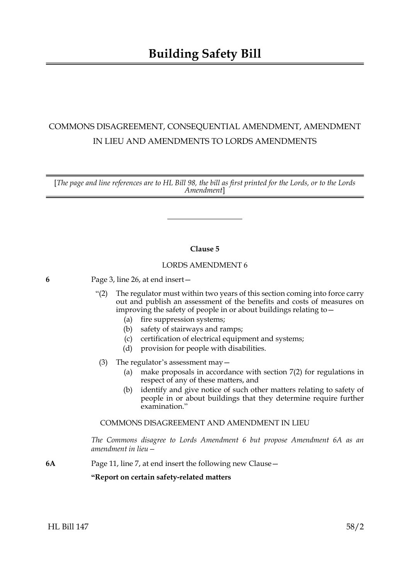# COMMONS DISAGREEMENT, CONSEQUENTIAL AMENDMENT, AMENDMENT IN LIEU AND AMENDMENTS TO LORDS AMENDMENTS

[*The page and line references are to HL Bill 98, the bill as first printed for the Lords, or to the Lords Amendment*]

# **Clause 5**

# LORDS AMENDMENT 6

- **6** Page 3, line 26, at end insert—
	- "(2) The regulator must within two years of this section coming into force carry out and publish an assessment of the benefits and costs of measures on improving the safety of people in or about buildings relating to—
		- (a) fire suppression systems;
		- (b) safety of stairways and ramps;
		- (c) certification of electrical equipment and systems;
		- (d) provision for people with disabilities.
	- (3) The regulator's assessment may—
		- (a) make proposals in accordance with section 7(2) for regulations in respect of any of these matters, and
		- (b) identify and give notice of such other matters relating to safety of people in or about buildings that they determine require further examination."

COMMONS DISAGREEMENT AND AMENDMENT IN LIEU

*The Commons disagree to Lords Amendment 6 but propose Amendment 6A as an amendment in lieu—*

**6A** Page 11, line 7, at end insert the following new Clause—

# **"Report on certain safety-related matters**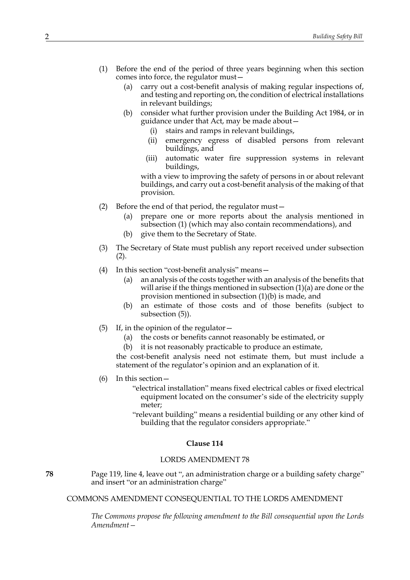- (1) Before the end of the period of three years beginning when this section comes into force, the regulator must—
	- (a) carry out a cost-benefit analysis of making regular inspections of, and testing and reporting on, the condition of electrical installations in relevant buildings;
	- (b) consider what further provision under the Building Act 1984, or in guidance under that Act, may be made about
		- stairs and ramps in relevant buildings,
		- (ii) emergency egress of disabled persons from relevant buildings, and
		- (iii) automatic water fire suppression systems in relevant buildings,

with a view to improving the safety of persons in or about relevant buildings, and carry out a cost-benefit analysis of the making of that provision.

- (2) Before the end of that period, the regulator must—
	- (a) prepare one or more reports about the analysis mentioned in subsection (1) (which may also contain recommendations), and
	- (b) give them to the Secretary of State.
- (3) The Secretary of State must publish any report received under subsection (2).
- (4) In this section "cost-benefit analysis" means—
	- (a) an analysis of the costs together with an analysis of the benefits that will arise if the things mentioned in subsection (1)(a) are done or the provision mentioned in subsection (1)(b) is made, and
	- (b) an estimate of those costs and of those benefits (subject to subsection (5)).
- (5) If, in the opinion of the regulator—
	- (a) the costs or benefits cannot reasonably be estimated, or
	- (b) it is not reasonably practicable to produce an estimate,

the cost-benefit analysis need not estimate them, but must include a statement of the regulator's opinion and an explanation of it.

- (6) In this section—
	- "electrical installation" means fixed electrical cables or fixed electrical equipment located on the consumer's side of the electricity supply meter;
	- "relevant building" means a residential building or any other kind of building that the regulator considers appropriate."

## **Clause 114**

#### LORDS AMENDMENT 78

**78** Page 119, line 4, leave out ", an administration charge or a building safety charge" and insert "or an administration charge"

COMMONS AMENDMENT CONSEQUENTIAL TO THE LORDS AMENDMENT

*The Commons propose the following amendment to the Bill consequential upon the Lords Amendment—*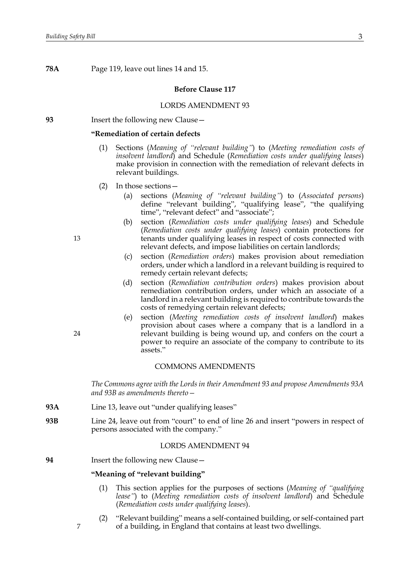**78A** Page 119, leave out lines 14 and 15.

## **Before Clause 117**

## LORDS AMENDMENT 93

**93** Insert the following new Clause—

#### **"Remediation of certain defects**

- (1) Sections (*Meaning of "relevant building"*) to (*Meeting remediation costs of insolvent landlord*) and Schedule (*Remediation costs under qualifying leases*) make provision in connection with the remediation of relevant defects in relevant buildings.
- (2) In those sections—
	- (a) sections (*Meaning of "relevant building"*) to (*Associated persons*) define "relevant building", "qualifying lease", "the qualifying time", "relevant defect" and "associate";
	- (b) section (*Remediation costs under qualifying leases*) and Schedule (*Remediation costs under qualifying leases*) contain protections for tenants under qualifying leases in respect of costs connected with relevant defects, and impose liabilities on certain landlords;
	- (c) section (*Remediation orders*) makes provision about remediation orders, under which a landlord in a relevant building is required to remedy certain relevant defects;
	- (d) section (*Remediation contribution orders*) makes provision about remediation contribution orders, under which an associate of a landlord in a relevant building is required to contribute towards the costs of remedying certain relevant defects;
	- (e) section (*Meeting remediation costs of insolvent landlord*) makes provision about cases where a company that is a landlord in a relevant building is being wound up, and confers on the court a power to require an associate of the company to contribute to its assets."

## COMMONS AMENDMENTS

*The Commons agree with the Lords in their Amendment 93 and propose Amendments 93A and 93B as amendments thereto—*

- **93A** Line 13, leave out "under qualifying leases"
- **93B** Line 24, leave out from "court" to end of line 26 and insert "powers in respect of persons associated with the company."

## LORDS AMENDMENT 94

**94** Insert the following new Clause—

#### **"Meaning of "relevant building"**

- (1) This section applies for the purposes of sections (*Meaning of "qualifying lease"*) to (*Meeting remediation costs of insolvent landlord*) and Schedule (*Remediation costs under qualifying leases*).
- (2) "Relevant building" means a self-contained building, or self-contained part of a building, in England that contains at least two dwellings.

24

7

13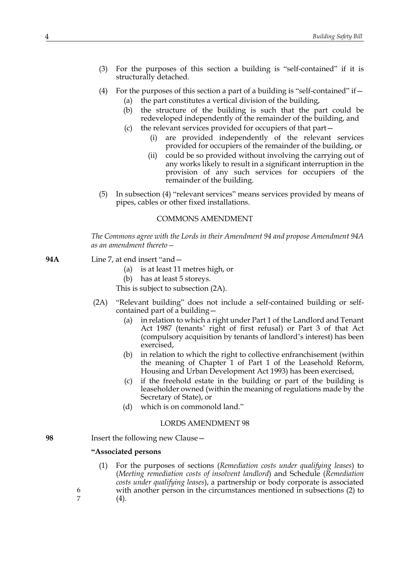- (3) For the purposes of this section a building is "self-contained" if it is structurally detached.
- (4) For the purposes of this section a part of a building is "self-contained" if— (a) the part constitutes a vertical division of the building,
	- (b) the structure of the building is such that the part could be redeveloped independently of the remainder of the building, and
	- (c) the relevant services provided for occupiers of that part—
		- (i) are provided independently of the relevant services provided for occupiers of the remainder of the building, or
		- (ii) could be so provided without involving the carrying out of any works likely to result in a significant interruption in the provision of any such services for occupiers of the remainder of the building.
- (5) In subsection (4) "relevant services" means services provided by means of pipes, cables or other fixed installations.

## COMMONS AMENDMENT

*The Commons agree with the Lords in their Amendment 94 and propose Amendment 94A as an amendment thereto—*

- **94A** Line 7, at end insert "and—
	- (a) is at least 11 metres high, or
	- (b) has at least 5 storeys.

This is subject to subsection (2A).

- (2A) "Relevant building" does not include a self-contained building or selfcontained part of a building—
	- (a) in relation to which a right under Part 1 of the Landlord and Tenant Act 1987 (tenants' right of first refusal) or Part 3 of that Act (compulsory acquisition by tenants of landlord's interest) has been exercised,
	- (b) in relation to which the right to collective enfranchisement (within the meaning of Chapter 1 of Part 1 of the Leasehold Reform, Housing and Urban Development Act 1993) has been exercised,
	- (c) if the freehold estate in the building or part of the building is leaseholder owned (within the meaning of regulations made by the Secretary of State), or
	- (d) which is on commonold land."

## LORDS AMENDMENT 98

**98** Insert the following new Clause—

#### **"Associated persons**

6 7 (1) For the purposes of sections (*Remediation costs under qualifying leases*) to (*Meeting remediation costs of insolvent landlord*) and Schedule (*Remediation costs under qualifying leases*), a partnership or body corporate is associated with another person in the circumstances mentioned in subsections (2) to (4).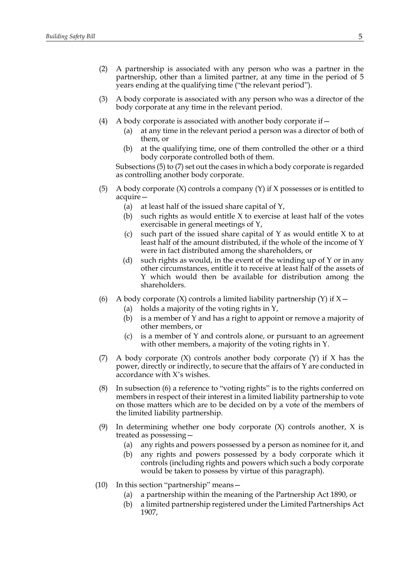- (2) A partnership is associated with any person who was a partner in the partnership, other than a limited partner, at any time in the period of 5 years ending at the qualifying time ("the relevant period").
- (3) A body corporate is associated with any person who was a director of the body corporate at any time in the relevant period.
- (4) A body corporate is associated with another body corporate if  $-$ 
	- (a) at any time in the relevant period a person was a director of both of them, or
	- (b) at the qualifying time, one of them controlled the other or a third body corporate controlled both of them.

Subsections (5) to (7) set out the cases in which a body corporate is regarded as controlling another body corporate.

- (5) A body corporate (X) controls a company (Y) if X possesses or is entitled to acquire—
	- (a) at least half of the issued share capital of Y,
	- (b) such rights as would entitle  $X$  to exercise at least half of the votes exercisable in general meetings of Y,
	- (c) such part of the issued share capital of  $Y$  as would entitle  $X$  to at least half of the amount distributed, if the whole of the income of Y were in fact distributed among the shareholders, or
	- (d) such rights as would, in the event of the winding up of Y or in any other circumstances, entitle it to receive at least half of the assets of Y which would then be available for distribution among the shareholders.
- (6) A body corporate  $(X)$  controls a limited liability partnership  $(Y)$  if  $X -$ 
	- (a) holds a majority of the voting rights in Y,
	- (b) is a member of Y and has a right to appoint or remove a majority of other members, or
	- (c) is a member of Y and controls alone, or pursuant to an agreement with other members, a majority of the voting rights in Y.
- (7) A body corporate  $(X)$  controls another body corporate  $(Y)$  if X has the power, directly or indirectly, to secure that the affairs of Y are conducted in accordance with X's wishes.
- (8) In subsection (6) a reference to "voting rights" is to the rights conferred on members in respect of their interest in a limited liability partnership to vote on those matters which are to be decided on by a vote of the members of the limited liability partnership.
- (9) In determining whether one body corporate  $(X)$  controls another, X is treated as possessing—
	- (a) any rights and powers possessed by a person as nominee for it, and
	- (b) any rights and powers possessed by a body corporate which it controls (including rights and powers which such a body corporate would be taken to possess by virtue of this paragraph).
- (10) In this section "partnership" means—
	- (a) a partnership within the meaning of the Partnership Act 1890, or
	- (b) a limited partnership registered under the Limited Partnerships Act 1907,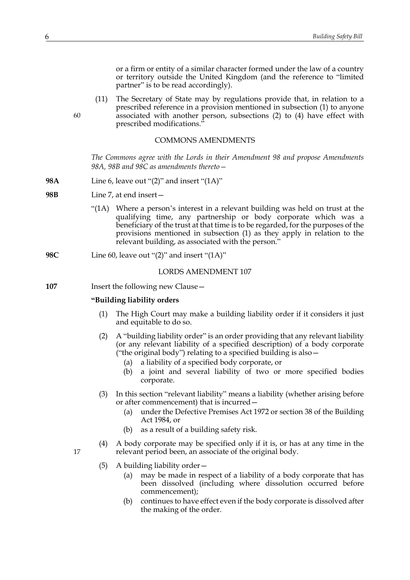or a firm or entity of a similar character formed under the law of a country or territory outside the United Kingdom (and the reference to "limited partner" is to be read accordingly).

(11) The Secretary of State may by regulations provide that, in relation to a prescribed reference in a provision mentioned in subsection (1) to anyone associated with another person, subsections (2) to (4) have effect with prescribed modifications.'

### COMMONS AMENDMENTS

*The Commons agree with the Lords in their Amendment 98 and propose Amendments 98A, 98B and 98C as amendments thereto—*

- **98A** Line 6, leave out "(2)" and insert "(1A)"
- **98B** Line 7, at end insert—
	- "(1A) Where a person's interest in a relevant building was held on trust at the qualifying time, any partnership or body corporate which was a beneficiary of the trust at that time is to be regarded, for the purposes of the provisions mentioned in subsection (1) as they apply in relation to the relevant building, as associated with the person."
- **98C** Line 60, leave out "(2)" and insert "(1A)"

#### LORDS AMENDMENT 107

**107** Insert the following new Clause—

## **"Building liability orders**

- (1) The High Court may make a building liability order if it considers it just and equitable to do so.
- (2) A "building liability order" is an order providing that any relevant liability (or any relevant liability of a specified description) of a body corporate ("the original body") relating to a specified building is also  $-$ 
	- (a) a liability of a specified body corporate, or
	- (b) a joint and several liability of two or more specified bodies corporate.
- (3) In this section "relevant liability" means a liability (whether arising before or after commencement) that is incurred—
	- (a) under the Defective Premises Act 1972 or section 38 of the Building Act 1984, or
	- (b) as a result of a building safety risk.
- (4) A body corporate may be specified only if it is, or has at any time in the relevant period been, an associate of the original body.
- 17
- (5) A building liability order—
	- (a) may be made in respect of a liability of a body corporate that has been dissolved (including where dissolution occurred before commencement);
	- (b) continues to have effect even if the body corporate is dissolved after the making of the order.

60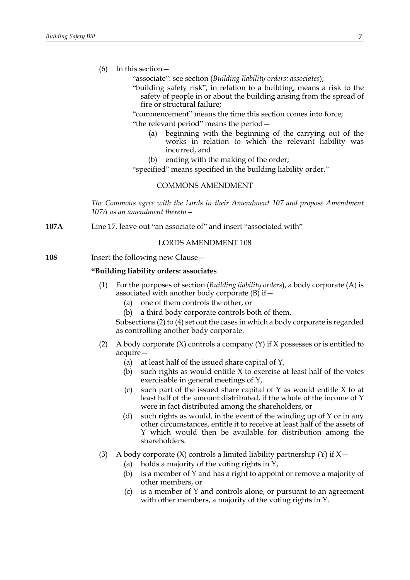(6) In this section—

"associate": see section (*Building liability orders: associates*);

"building safety risk", in relation to a building, means a risk to the safety of people in or about the building arising from the spread of fire or structural failure;

"commencement" means the time this section comes into force; "the relevant period" means the period—

- (a) beginning with the beginning of the carrying out of the works in relation to which the relevant liability was incurred, and
- (b) ending with the making of the order;

"specified" means specified in the building liability order."

## COMMONS AMENDMENT

*The Commons agree with the Lords in their Amendment 107 and propose Amendment 107A as an amendment thereto—*

**107A** Line 17, leave out "an associate of" and insert "associated with"

LORDS AMENDMENT 108

**108** Insert the following new Clause—

## **"Building liability orders: associates**

- (1) For the purposes of section (*Building liability orders*), a body corporate (A) is associated with another body corporate  $(B)$  if  $-$ 
	- (a) one of them controls the other, or
	- (b) a third body corporate controls both of them.

Subsections (2) to (4) set out the cases in which a body corporate is regarded as controlling another body corporate.

- (2) A body corporate (X) controls a company (Y) if X possesses or is entitled to acquire—
	- (a) at least half of the issued share capital of Y,
	- (b) such rights as would entitle  $X$  to exercise at least half of the votes exercisable in general meetings of Y,
	- (c) such part of the issued share capital of Y as would entitle X to at least half of the amount distributed, if the whole of the income of Y were in fact distributed among the shareholders, or
	- (d) such rights as would, in the event of the winding up of Y or in any other circumstances, entitle it to receive at least half of the assets of Y which would then be available for distribution among the shareholders.
- (3) A body corporate  $(X)$  controls a limited liability partnership  $(Y)$  if  $X$  -
	- (a) holds a majority of the voting rights in Y,
	- (b) is a member of Y and has a right to appoint or remove a majority of other members, or
	- (c) is a member of Y and controls alone, or pursuant to an agreement with other members, a majority of the voting rights in Y.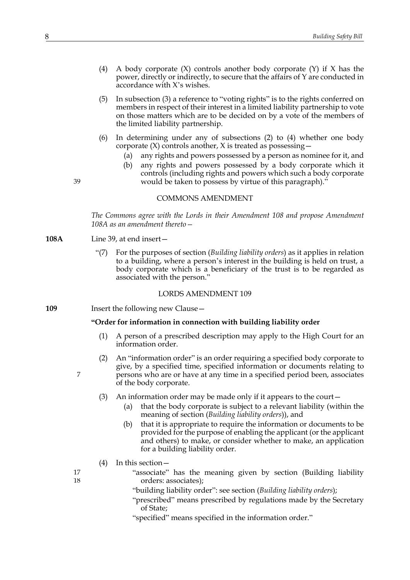- (4) A body corporate (X) controls another body corporate (Y) if X has the power, directly or indirectly, to secure that the affairs of Y are conducted in accordance with X's wishes.
- (5) In subsection (3) a reference to "voting rights" is to the rights conferred on members in respect of their interest in a limited liability partnership to vote on those matters which are to be decided on by a vote of the members of the limited liability partnership.
- (6) In determining under any of subsections (2) to (4) whether one body corporate (X) controls another, X is treated as possessing—
	- (a) any rights and powers possessed by a person as nominee for it, and
	- (b) any rights and powers possessed by a body corporate which it controls (including rights and powers which such a body corporate would be taken to possess by virtue of this paragraph)."

### COMMONS AMENDMENT

*The Commons agree with the Lords in their Amendment 108 and propose Amendment 108A as an amendment thereto—*

**108A** Line 39, at end insert—

39

7

17 18 "(7) For the purposes of section (*Building liability orders*) as it applies in relation to a building, where a person's interest in the building is held on trust, a body corporate which is a beneficiary of the trust is to be regarded as associated with the person."

#### LORDS AMENDMENT 109

**109** Insert the following new Clause -

## **"Order for information in connection with building liability order**

- (1) A person of a prescribed description may apply to the High Court for an information order.
- (2) An "information order" is an order requiring a specified body corporate to give, by a specified time, specified information or documents relating to persons who are or have at any time in a specified period been, associates of the body corporate.
- (3) An information order may be made only if it appears to the court—
	- (a) that the body corporate is subject to a relevant liability (within the meaning of section (*Building liability orders*)), and
	- (b) that it is appropriate to require the information or documents to be provided for the purpose of enabling the applicant (or the applicant and others) to make, or consider whether to make, an application for a building liability order.
- (4) In this section—
	- "associate" has the meaning given by section (Building liability orders: associates);
	- "building liability order": see section (*Building liability orders*);
	- "prescribed" means prescribed by regulations made by the Secretary of State;
	- "specified" means specified in the information order."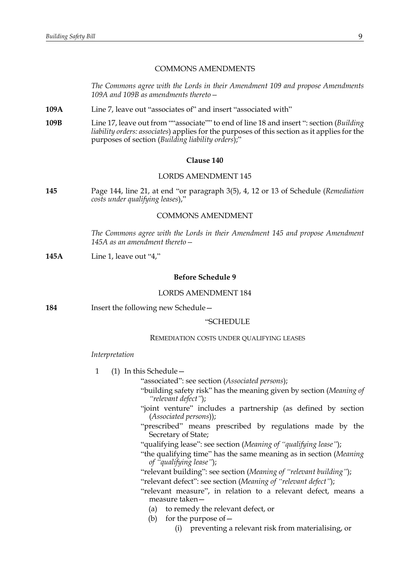## COMMONS AMENDMENTS

*The Commons agree with the Lords in their Amendment 109 and propose Amendments 109A and 109B as amendments thereto—*

- **109A** Line 7, leave out "associates of" and insert "associated with"
- **109B** Line 17, leave out from ""associate"" to end of line 18 and insert ": section (*Building liability orders: associates*) applies for the purposes of this section as it applies for the purposes of section (*Building liability orders*);"

#### **Clause 140**

## LORDS AMENDMENT 145

**145** Page 144, line 21, at end "or paragraph 3(5), 4, 12 or 13 of Schedule (*Remediation costs under qualifying leases*),"

## COMMONS AMENDMENT

*The Commons agree with the Lords in their Amendment 145 and propose Amendment 145A as an amendment thereto—*

**145A** Line 1, leave out "4,"

## **Before Schedule 9**

## LORDS AMENDMENT 184

**184** Insert the following new Schedule—

#### "SCHEDULE

#### REMEDIATION COSTS UNDER QUALIFYING LEASES

#### *Interpretation*

1 (1) In this Schedule—

"associated": see section (*Associated persons*);

- "building safety risk" has the meaning given by section (*Meaning of "relevant defect"*);
- "joint venture" includes a partnership (as defined by section (*Associated persons*));
- "prescribed" means prescribed by regulations made by the Secretary of State;
- "qualifying lease": see section (*Meaning of "qualifying lease"*);
- "the qualifying time" has the same meaning as in section (*Meaning of "qualifying lease"*);
- "relevant building": see section (*Meaning of "relevant building"*);
- "relevant defect": see section (*Meaning of "relevant defect"*);
- "relevant measure", in relation to a relevant defect, means a measure taken—
	- (a) to remedy the relevant defect, or
	- (b) for the purpose of  $-$ 
		- (i) preventing a relevant risk from materialising, or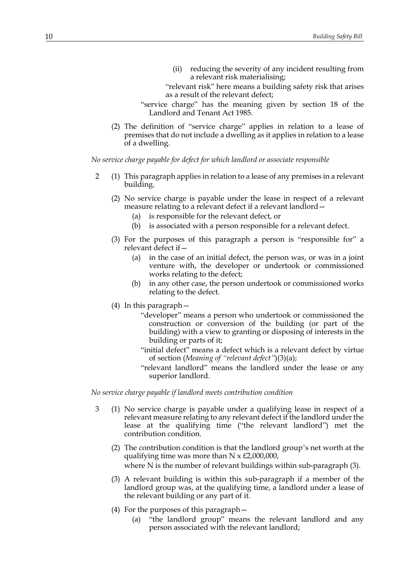(ii) reducing the severity of any incident resulting from a relevant risk materialising;

"relevant risk" here means a building safety risk that arises as a result of the relevant defect;

- "service charge" has the meaning given by section 18 of the Landlord and Tenant Act 1985.
- (2) The definition of "service charge" applies in relation to a lease of premises that do not include a dwelling as it applies in relation to a lease of a dwelling.

*No service charge payable for defect for which landlord or associate responsible*

- <span id="page-9-0"></span>2 (1) This paragraph applies in relation to a lease of any premises in a relevant building.
	- (2) No service charge is payable under the lease in respect of a relevant measure relating to a relevant defect if a relevant landlord—
		- (a) is responsible for the relevant defect, or
		- (b) is associated with a person responsible for a relevant defect.
	- (3) For the purposes of this paragraph a person is "responsible for" a relevant defect if—
		- (a) in the case of an initial defect, the person was, or was in a joint venture with, the developer or undertook or commissioned works relating to the defect;
		- (b) in any other case, the person undertook or commissioned works relating to the defect.
	- (4) In this paragraph—
		- "developer" means a person who undertook or commissioned the construction or conversion of the building (or part of the building) with a view to granting or disposing of interests in the building or parts of it;
		- "initial defect" means a defect which is a relevant defect by virtue of section (*Meaning of "relevant defect"*)(3)(a);
		- "relevant landlord" means the landlord under the lease or any superior landlord.

*No service charge payable if landlord meets contribution condition*

- 3 (1) No service charge is payable under a qualifying lease in respect of a relevant measure relating to any relevant defect if the landlord under the lease at the qualifying time ("the relevant landlord") met the contribution condition.
	- (2) The contribution condition is that the landlord group's net worth at the qualifying time was more than  $N \times \text{\textsterling}2,000,000$ , where N is the number of relevant buildings within sub-paragraph (3).
	- (3) A relevant building is within this sub-paragraph if a member of the landlord group was, at the qualifying time, a landlord under a lease of the relevant building or any part of it.
	- (4) For the purposes of this paragraph—
		- (a) "the landlord group" means the relevant landlord and any person associated with the relevant landlord;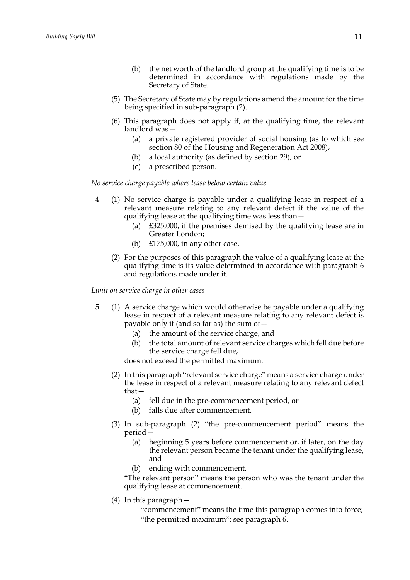- (b) the net worth of the landlord group at the qualifying time is to be determined in accordance with regulations made by the Secretary of State.
- (5) The Secretary of State may by regulations amend the amount for the time being specified in sub-paragraph (2).
- (6) This paragraph does not apply if, at the qualifying time, the relevant landlord was—
	- (a) a private registered provider of social housing (as to which see section 80 of the Housing and Regeneration Act 2008),
	- (b) a local authority (as defined by section 29), or
	- (c) a prescribed person.

*No service charge payable where lease below certain value*

- 4 (1) No service charge is payable under a qualifying lease in respect of a relevant measure relating to any relevant defect if the value of the qualifying lease at the qualifying time was less than—
	- (a) £325,000, if the premises demised by the qualifying lease are in Greater London;
	- (b) £175,000, in any other case.
	- (2) For the purposes of this paragraph the value of a qualifying lease at the qualifying time is its value determined in accordance with paragraph 6 and regulations made under it.

*Limit on service charge in other cases*

- <span id="page-10-0"></span>5 (1) A service charge which would otherwise be payable under a qualifying lease in respect of a relevant measure relating to any relevant defect is payable only if (and so far as) the sum of—
	- (a) the amount of the service charge, and
	- (b) the total amount of relevant service charges which fell due before the service charge fell due,

does not exceed the permitted maximum.

- (2) In this paragraph "relevant service charge" means a service charge under the lease in respect of a relevant measure relating to any relevant defect that—
	- (a) fell due in the pre-commencement period, or
	- (b) falls due after commencement.
- (3) In sub-paragraph (2) "the pre-commencement period" means the period—
	- (a) beginning 5 years before commencement or, if later, on the day the relevant person became the tenant under the qualifying lease, and
	- (b) ending with commencement.

"The relevant person" means the person who was the tenant under the qualifying lease at commencement.

(4) In this paragraph—

"commencement" means the time this paragraph comes into force; "the permitted maximum": see paragraph [6.](#page-11-0)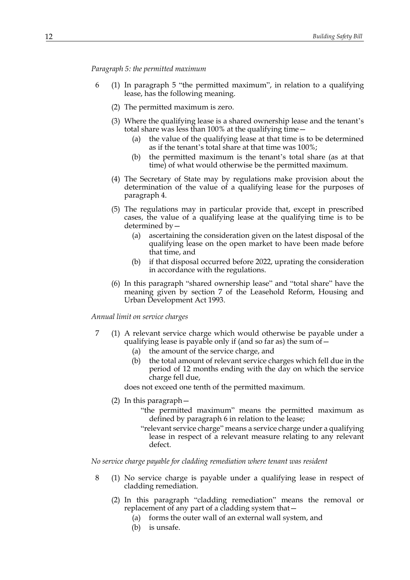#### *Paragraph [5](#page-10-0): the permitted maximum*

- <span id="page-11-0"></span>6 (1) In paragraph [5](#page-10-0) "the permitted maximum", in relation to a qualifying lease, has the following meaning.
	- (2) The permitted maximum is zero.
	- (3) Where the qualifying lease is a shared ownership lease and the tenant's total share was less than 100% at the qualifying time—
		- (a) the value of the qualifying lease at that time is to be determined as if the tenant's total share at that time was 100%;
		- (b) the permitted maximum is the tenant's total share (as at that time) of what would otherwise be the permitted maximum.
	- (4) The Secretary of State may by regulations make provision about the determination of the value of a qualifying lease for the purposes of paragraph 4.
	- (5) The regulations may in particular provide that, except in prescribed cases, the value of a qualifying lease at the qualifying time is to be determined by—
		- (a) ascertaining the consideration given on the latest disposal of the qualifying lease on the open market to have been made before that time, and
		- (b) if that disposal occurred before 2022, uprating the consideration in accordance with the regulations.
	- (6) In this paragraph "shared ownership lease" and "total share" have the meaning given by section 7 of the Leasehold Reform, Housing and Urban Development Act 1993.

#### *Annual limit on service charges*

- 7 (1) A relevant service charge which would otherwise be payable under a qualifying lease is payable only if (and so far as) the sum of—
	- (a) the amount of the service charge, and
	- (b) the total amount of relevant service charges which fell due in the period of 12 months ending with the day on which the service charge fell due,

does not exceed one tenth of the permitted maximum.

- (2) In this paragraph—
	- "the permitted maximum" means the permitted maximum as defined by paragraph [6](#page-11-0) in relation to the lease;
	- "relevant service charge" means a service charge under a qualifying lease in respect of a relevant measure relating to any relevant defect.

*No service charge payable for cladding remediation where tenant was resident*

- 8 (1) No service charge is payable under a qualifying lease in respect of cladding remediation.
	- (2) In this paragraph "cladding remediation" means the removal or replacement of any part of a cladding system that -
		- (a) forms the outer wall of an external wall system, and
		- (b) is unsafe.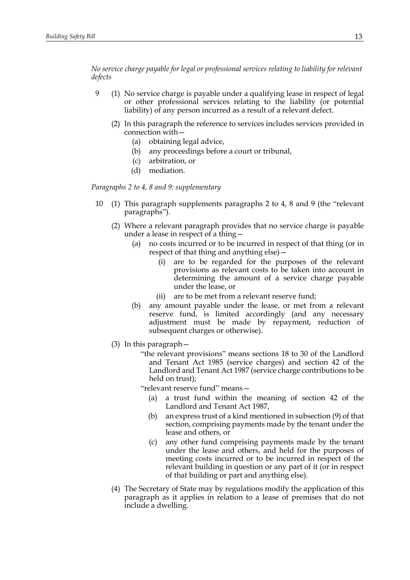*No service charge payable for legal or professional services relating to liability for relevant defects*

- <span id="page-12-0"></span>9 (1) No service charge is payable under a qualifying lease in respect of legal or other professional services relating to the liability (or potential liability) of any person incurred as a result of a relevant defect.
	- (2) In this paragraph the reference to services includes services provided in connection with—
		- (a) obtaining legal advice,
		- (b) any proceedings before a court or tribunal,
		- (c) arbitration, or
		- (d) mediation.

*Paragraphs [2](#page-9-0) to 4, 8 and [9](#page-12-0): supplementary* 

- 10 (1) This paragraph supplements paragraphs [2](#page-9-0) to 4, 8 and [9](#page-12-0) (the "relevant paragraphs").
	- (2) Where a relevant paragraph provides that no service charge is payable under a lease in respect of a thing—
		- (a) no costs incurred or to be incurred in respect of that thing (or in respect of that thing and anything else)—
			- (i) are to be regarded for the purposes of the relevant provisions as relevant costs to be taken into account in determining the amount of a service charge payable under the lease, or
			- (ii) are to be met from a relevant reserve fund;
		- (b) any amount payable under the lease, or met from a relevant reserve fund, is limited accordingly (and any necessary adjustment must be made by repayment, reduction of subsequent charges or otherwise).
	- (3) In this paragraph—
		- "the relevant provisions" means sections 18 to 30 of the Landlord and Tenant Act 1985 (service charges) and section 42 of the Landlord and Tenant Act 1987 (service charge contributions to be held on trust);

"relevant reserve fund" means—

- (a) a trust fund within the meaning of section 42 of the Landlord and Tenant Act 1987,
- (b) an express trust of a kind mentioned in subsection (9) of that section, comprising payments made by the tenant under the lease and others, or
- (c) any other fund comprising payments made by the tenant under the lease and others, and held for the purposes of meeting costs incurred or to be incurred in respect of the relevant building in question or any part of it (or in respect of that building or part and anything else).
- (4) The Secretary of State may by regulations modify the application of this paragraph as it applies in relation to a lease of premises that do not include a dwelling.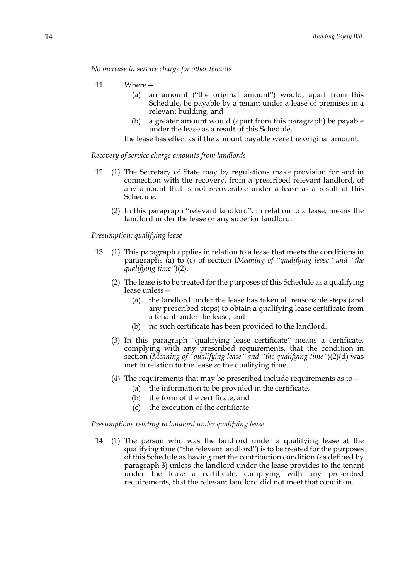*No increase in service charge for other tenants*

- 11 Where—
	- (a) an amount ("the original amount") would, apart from this Schedule, be payable by a tenant under a lease of premises in a relevant building, and
	- a greater amount would (apart from this paragraph) be payable under the lease as a result of this Schedule,

the lease has effect as if the amount payable were the original amount.

#### *Recovery of service charge amounts from landlords*

- 12 (1) The Secretary of State may by regulations make provision for and in connection with the recovery, from a prescribed relevant landlord, of any amount that is not recoverable under a lease as a result of this Schedule.
	- (2) In this paragraph "relevant landlord", in relation to a lease, means the landlord under the lease or any superior landlord.

*Presumption: qualifying lease*

- 13 (1) This paragraph applies in relation to a lease that meets the conditions in paragraphs (a) to (c) of section (*Meaning of "qualifying lease" and "the qualifying time"*)(2).
	- (2) The lease is to be treated for the purposes of this Schedule as a qualifying lease unless—
		- (a) the landlord under the lease has taken all reasonable steps (and any prescribed steps) to obtain a qualifying lease certificate from a tenant under the lease, and
		- (b) no such certificate has been provided to the landlord.
	- (3) In this paragraph "qualifying lease certificate" means a certificate, complying with any prescribed requirements, that the condition in section (*Meaning of "qualifying lease" and "the qualifying time"*)(2)(d) was met in relation to the lease at the qualifying time.
	- (4) The requirements that may be prescribed include requirements as to  $-$ 
		- (a) the information to be provided in the certificate,
		- (b) the form of the certificate, and
		- (c) the execution of the certificate.

#### *Presumptions relating to landlord under qualifying lease*

14 (1) The person who was the landlord under a qualifying lease at the qualifying time ("the relevant landlord") is to be treated for the purposes of this Schedule as having met the contribution condition (as defined by paragraph 3) unless the landlord under the lease provides to the tenant under the lease a certificate, complying with any prescribed requirements, that the relevant landlord did not meet that condition.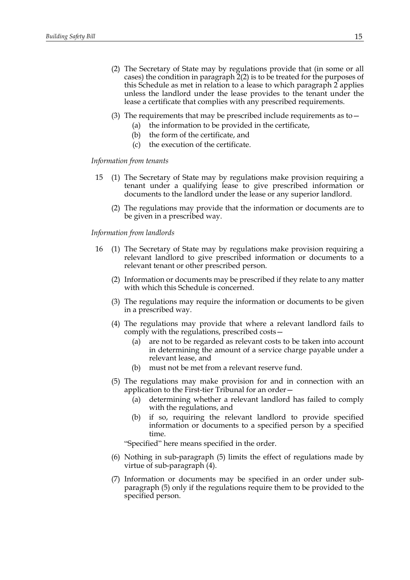- (2) The Secretary of State may by regulations provide that (in some or all cases) the condition in paragraph 2(2) is to be treated for the purposes of this Schedule as met in relation to a lease to which paragraph 2 applies unless the landlord under the lease provides to the tenant under the lease a certificate that complies with any prescribed requirements.
- (3) The requirements that may be prescribed include requirements as to  $-$ 
	- (a) the information to be provided in the certificate,
	- (b) the form of the certificate, and
	- (c) the execution of the certificate.

## *Information from tenants*

- 15 (1) The Secretary of State may by regulations make provision requiring a tenant under a qualifying lease to give prescribed information or documents to the landlord under the lease or any superior landlord.
	- (2) The regulations may provide that the information or documents are to be given in a prescribed way.

### *Information from landlords*

- 16 (1) The Secretary of State may by regulations make provision requiring a relevant landlord to give prescribed information or documents to a relevant tenant or other prescribed person.
	- (2) Information or documents may be prescribed if they relate to any matter with which this Schedule is concerned.
	- (3) The regulations may require the information or documents to be given in a prescribed way.
	- (4) The regulations may provide that where a relevant landlord fails to comply with the regulations, prescribed costs—
		- (a) are not to be regarded as relevant costs to be taken into account in determining the amount of a service charge payable under a relevant lease, and
		- (b) must not be met from a relevant reserve fund.
	- (5) The regulations may make provision for and in connection with an application to the First-tier Tribunal for an order—
		- (a) determining whether a relevant landlord has failed to comply with the regulations, and
		- (b) if so, requiring the relevant landlord to provide specified information or documents to a specified person by a specified time.

"Specified" here means specified in the order.

- (6) Nothing in sub-paragraph (5) limits the effect of regulations made by virtue of sub-paragraph (4).
- (7) Information or documents may be specified in an order under subparagraph (5) only if the regulations require them to be provided to the specified person.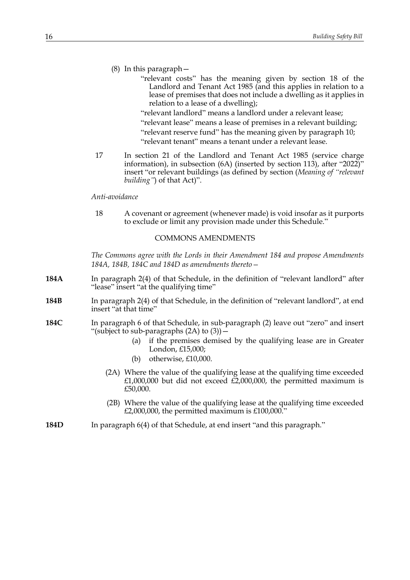- (8) In this paragraph—
	- "relevant costs" has the meaning given by section 18 of the Landlord and Tenant Act 1985 (and this applies in relation to a lease of premises that does not include a dwelling as it applies in relation to a lease of a dwelling);
	- "relevant landlord" means a landlord under a relevant lease;
	- "relevant lease" means a lease of premises in a relevant building;
	- "relevant reserve fund" has the meaning given by paragraph 10; "relevant tenant" means a tenant under a relevant lease.
- 17 In section 21 of the Landlord and Tenant Act 1985 (service charge information), in subsection (6A) (inserted by section 113), after "2022)" insert "or relevant buildings (as defined by section (*Meaning of "relevant building"*) of that Act)".

#### *Anti-avoidance*

18 A covenant or agreement (whenever made) is void insofar as it purports to exclude or limit any provision made under this Schedule."

## COMMONS AMENDMENTS

*The Commons agree with the Lords in their Amendment 184 and propose Amendments 184A, 184B, 184C and 184D as amendments thereto—*

- **184A** In paragraph 2(4) of that Schedule, in the definition of "relevant landlord" after "lease" insert "at the qualifying time"
- **184B** In paragraph 2(4) of that Schedule, in the definition of "relevant landlord", at end insert "at that time"
- **184C** In paragraph 6 of that Schedule, in sub-paragraph (2) leave out "zero" and insert "(subject to sub-paragraphs (2A) to (3))—
	- (a) if the premises demised by the qualifying lease are in Greater London, £15,000;
	- (b) otherwise, £10,000.
	- (2A) Where the value of the qualifying lease at the qualifying time exceeded  $£1,000,000$  but did not exceed  $£2,000,000$ , the permitted maximum is £50,000.
	- (2B) Where the value of the qualifying lease at the qualifying time exceeded  $£2,000,000$ , the permitted maximum is £100,000."
- **184D** In paragraph 6(4) of that Schedule, at end insert "and this paragraph."